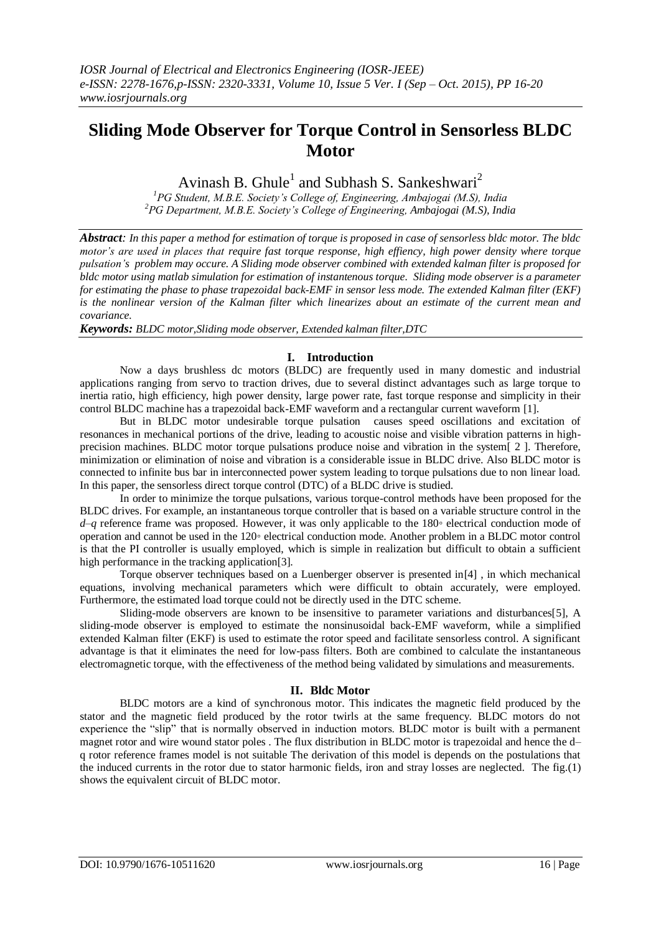# **Sliding Mode Observer for Torque Control in Sensorless BLDC Motor**

Avinash B. Ghule<sup>1</sup> and Subhash S. Sankeshwari<sup>2</sup>

*<sup>1</sup>PG Student, M.B.E. Society's College of, Engineering, Ambajogai (M.S), India <sup>2</sup>PG Department, M.B.E. Society's College of Engineering, Ambajogai (M.S), India*

*Abstract: In this paper a method for estimation of torque is proposed in case of sensorless bldc motor. The bldc motor's are used in places that require fast torque response, high effiency, high power density where torque pulsation's problem may occure. A Sliding mode observer combined with extended kalman filter is proposed for bldc motor using matlab simulation for estimation of instantenous torque. Sliding mode observer is a parameter for estimating the phase to phase trapezoidal back-EMF in sensor less mode. The extended Kalman filter (EKF) is the [nonlinear](https://en.wikipedia.org/wiki/Nonlinear) version of the [Kalman filter](https://en.wikipedia.org/wiki/Kalman_filter) which linearizes about an estimate of the current mean and [covariance.](https://en.wikipedia.org/wiki/Covariance)*

*Keywords: BLDC motor,Sliding mode observer, Extended kalman filter,DTC* 

### **I. Introduction**

Now a days brushless dc motors (BLDC) are frequently used in many domestic and industrial applications ranging from servo to traction drives, due to several distinct advantages such as large torque to inertia ratio, high efficiency, high power density, large power rate, fast torque response and simplicity in their control BLDC machine has a trapezoidal back-EMF waveform and a rectangular current waveform [1].

But in BLDC motor undesirable torque pulsation causes speed oscillations and excitation of resonances in mechanical portions of the drive, leading to acoustic noise and visible vibration patterns in highprecision machines. BLDC motor torque pulsations produce noise and vibration in the system[ 2 ]. Therefore, minimization or elimination of noise and vibration is a considerable issue in BLDC drive. Also BLDC motor is connected to infinite bus bar in interconnected power system leading to torque pulsations due to non linear load. In this paper, the sensorless direct torque control (DTC) of a BLDC drive is studied.

In order to minimize the torque pulsations, various torque-control methods have been proposed for the BLDC drives. For example, an instantaneous torque controller that is based on a variable structure control in the *d*–*q* reference frame was proposed. However, it was only applicable to the 180*◦* electrical conduction mode of operation and cannot be used in the 120*◦* electrical conduction mode. Another problem in a BLDC motor control is that the PI controller is usually employed, which is simple in realization but difficult to obtain a sufficient high performance in the tracking application[3].

Torque observer techniques based on a Luenberger observer is presented in [4], in which mechanical equations, involving mechanical parameters which were difficult to obtain accurately, were employed. Furthermore, the estimated load torque could not be directly used in the DTC scheme.

Sliding-mode observers are known to be insensitive to parameter variations and disturbances[5], A sliding-mode observer is employed to estimate the nonsinusoidal back-EMF waveform, while a simplified extended Kalman filter (EKF) is used to estimate the rotor speed and facilitate sensorless control. A significant advantage is that it eliminates the need for low-pass filters. Both are combined to calculate the instantaneous electromagnetic torque, with the effectiveness of the method being validated by simulations and measurements.

# **II. Bldc Motor**

BLDC motors are a kind of synchronous motor. This indicates the magnetic field produced by the stator and the magnetic field produced by the rotor twirls at the same frequency. BLDC motors do not experience the "slip" that is normally observed in induction motors. BLDC motor is built with a permanent magnet rotor and wire wound stator poles . The flux distribution in BLDC motor is trapezoidal and hence the d– q rotor reference frames model is not suitable The derivation of this model is depends on the postulations that the induced currents in the rotor due to stator harmonic fields, iron and stray losses are neglected. The fig. $(1)$ shows the equivalent circuit of BLDC motor.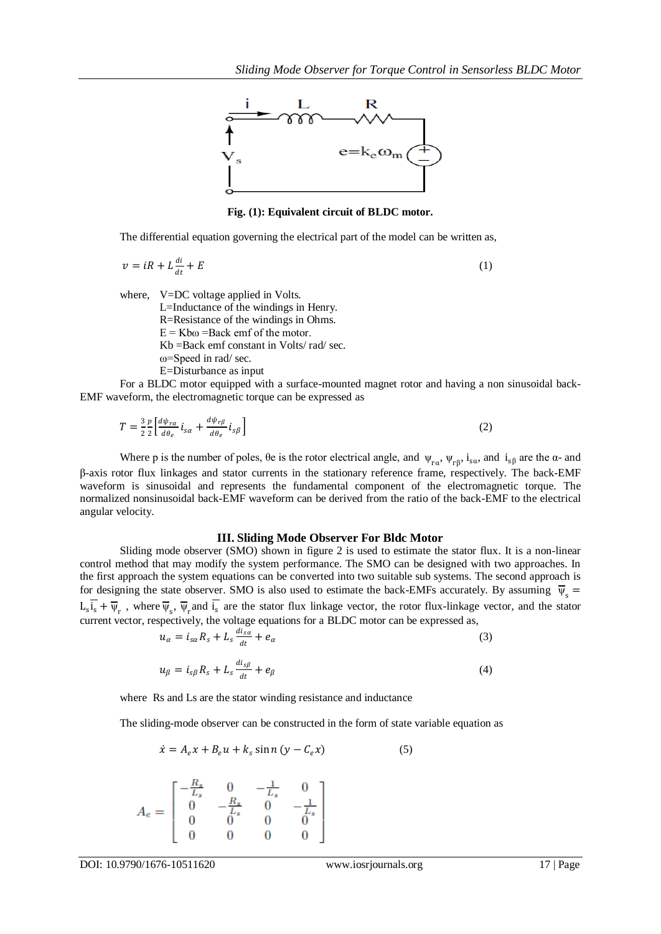

**Fig. (1): Equivalent circuit of BLDC motor.**

The differential equation governing the electrical part of the model can be written as,

$$
v = iR + L\frac{di}{dt} + E\tag{1}
$$

where, V=DC voltage applied in Volts.

L=Inductance of the windings in Henry.

R=Resistance of the windings in Ohms.

 $E = Kb\omega =$ Back emf of the motor.

Kb =Back emf constant in Volts/ rad/ sec.

ω=Speed in rad/ sec.

E=Disturbance as input

For a BLDC motor equipped with a surface-mounted magnet rotor and having a non sinusoidal back-EMF waveform, the electromagnetic torque can be expressed as

$$
T = \frac{3}{2} \frac{p}{2} \left[ \frac{d\psi_{r\alpha}}{d\theta_e} i_{s\alpha} + \frac{d\psi_{r\beta}}{d\theta_e} i_{s\beta} \right]
$$
 (2)

Where p is the number of poles,  $\theta$ e is the rotor electrical angle, and  $\psi_{ra}$ ,  $\psi_{r\beta}$ ,  $i_{sa}$ , and  $i_{s\beta}$  are the  $\alpha$ - and β-axis rotor flux linkages and stator currents in the stationary reference frame, respectively. The back-EMF waveform is sinusoidal and represents the fundamental component of the electromagnetic torque. The normalized nonsinusoidal back-EMF waveform can be derived from the ratio of the back-EMF to the electrical angular velocity.

#### **III. Sliding Mode Observer For Bldc Motor**

Sliding mode observer (SMO) shown in figure 2 is used to estimate the stator flux. It is a non-linear control method that may modify the system performance. The SMO can be designed with two approaches. In the first approach the system equations can be converted into two suitable sub systems. The second approach is for designing the state observer. SMO is also used to estimate the back-EMFs accurately. By assuming  $\bar{\psi}_s$  =  $L_s i_s + \overline{\psi}_r$ , where  $\overline{\psi}_s$ ,  $\overline{\psi}_r$  and  $i_s$  are the stator flux linkage vector, the rotor flux-linkage vector, and the stator current vector, respectively, the voltage equations for a BLDC motor can be expressed as,

$$
u_{\alpha} = i_{s\alpha} R_s + L_s \frac{di_{s\alpha}}{dt} + e_{\alpha} \tag{3}
$$

$$
u_{\beta} = i_{s\beta} R_s + L_s \frac{di_{s\beta}}{dt} + e_{\beta} \tag{4}
$$

where Rs and Ls are the stator winding resistance and inductance

The sliding-mode observer can be constructed in the form of state variable equation as

$$
\dot{x} = A_e x + B_e u + k_s \sin n (y - C_e x) \tag{5}
$$



DOI: 10.9790/1676-10511620 www.iosrjournals.org 17 | Page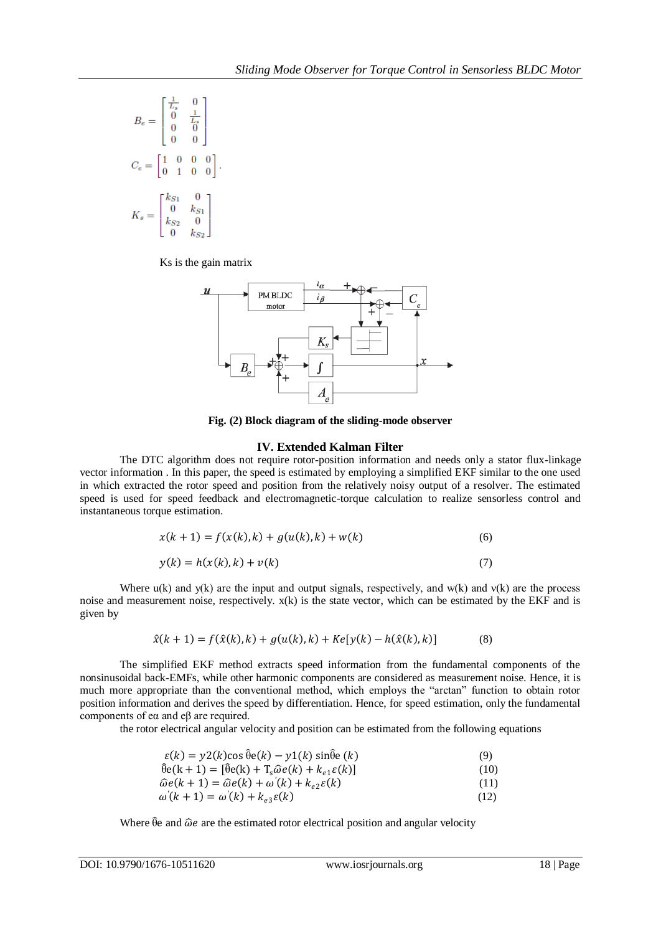$$
B_e = \begin{bmatrix} \frac{1}{L_s} & 0 \\ 0 & \frac{1}{L_s} \\ 0 & 0 \\ 0 & 0 \end{bmatrix}
$$
  

$$
C_e = \begin{bmatrix} 1 & 0 & 0 & 0 \\ 0 & 1 & 0 & 0 \\ 0 & k_{S1} & 0 \\ k_{S2} & 0 & k_{S2} \end{bmatrix}.
$$

Ks is the gain matrix



**Fig. (2) Block diagram of the sliding-mode observer**

## **IV. Extended Kalman Filter**

The DTC algorithm does not require rotor-position information and needs only a stator flux-linkage vector information . In this paper, the speed is estimated by employing a simplified EKF similar to the one used in which extracted the rotor speed and position from the relatively noisy output of a resolver. The estimated speed is used for speed feedback and electromagnetic-torque calculation to realize sensorless control and instantaneous torque estimation.

$$
x(k + 1) = f(x(k), k) + g(u(k), k) + w(k)
$$
\n(6)

$$
y(k) = h(x(k), k) + v(k)
$$
\n<sup>(7)</sup>

Where  $u(k)$  and  $y(k)$  are the input and output signals, respectively, and  $w(k)$  and  $v(k)$  are the process noise and measurement noise, respectively. x(k) is the state vector, which can be estimated by the EKF and is given by

$$
\hat{x}(k+1) = f(\hat{x}(k),k) + g(u(k),k) + Ke[y(k) - h(\hat{x}(k),k)]
$$
\n(8)

The simplified EKF method extracts speed information from the fundamental components of the nonsinusoidal back-EMFs, while other harmonic components are considered as measurement noise. Hence, it is much more appropriate than the conventional method, which employs the "arctan" function to obtain rotor position information and derives the speed by differentiation. Hence, for speed estimation, only the fundamental components of eα and eβ are required.

the rotor electrical angular velocity and position can be estimated from the following equations

$$
\varepsilon(k) = y2(k)\cos\hat{\theta}e(k) - y1(k)\sin\hat{\theta}e(k)
$$
\n(9)

$$
\hat{\theta}e(k+1) = [\hat{\theta}e(k) + T_s \hat{\omega}e(k) + k_{e1}\varepsilon(k)]
$$
\n(10)

$$
\widehat{\omega}e(k+1) = \widehat{\omega}e(k) + \omega'(k) + k_{e2}\varepsilon(k)
$$
\n(11)

$$
\omega'(k+1) = \omega'(k) + k_{e3}\varepsilon(k) \tag{12}
$$

Where  $\hat{\theta}$ e and  $\hat{\omega}$ e are the estimated rotor electrical position and angular velocity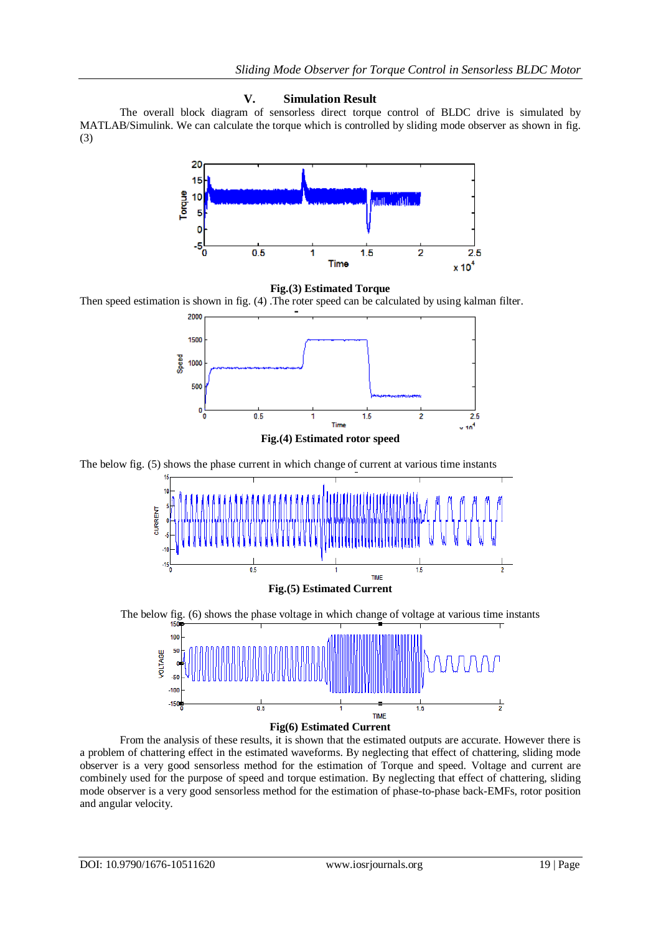## **V. Simulation Result**

The overall block diagram of sensorless direct torque control of BLDC drive is simulated by MATLAB/Simulink. We can calculate the torque which is controlled by sliding mode observer as shown in fig. (3)





Then speed estimation is shown in fig. (4) .The roter speed can be calculated by using kalman filter.



**Fig.(4) Estimated rotor speed**

The below fig. (5) shows the phase current in which change of current at various time instants



The below fig. (6) shows the phase voltage in which change of voltage at various time instants



From the analysis of these results, it is shown that the estimated outputs are accurate. However there is a problem of chattering effect in the estimated waveforms. By neglecting that effect of chattering, sliding mode observer is a very good sensorless method for the estimation of Torque and speed. Voltage and current are combinely used for the purpose of speed and torque estimation. By neglecting that effect of chattering, sliding mode observer is a very good sensorless method for the estimation of phase-to-phase back-EMFs, rotor position and angular velocity.